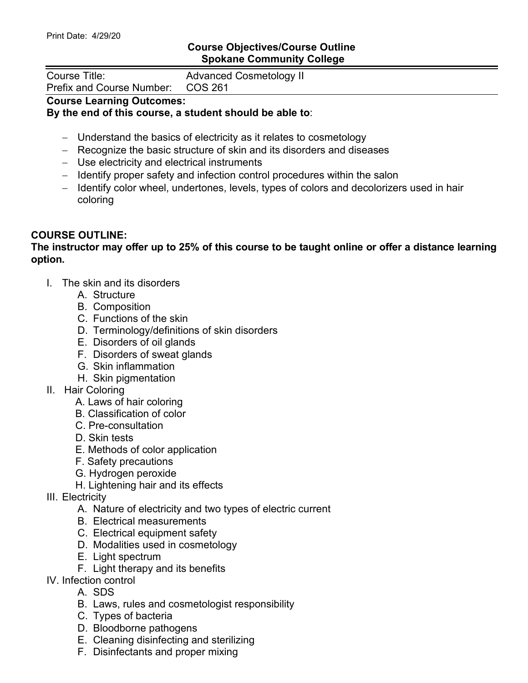## **Course Objectives/Course Outline Spokane Community College**

| Course Title:                     | <b>Advanced Cosmetology II</b> |
|-----------------------------------|--------------------------------|
| Prefix and Course Number: COS 261 |                                |
|                                   |                                |

## **Course Learning Outcomes: By the end of this course, a student should be able to**:

- − Understand the basics of electricity as it relates to cosmetology
- − Recognize the basic structure of skin and its disorders and diseases
- − Use electricity and electrical instruments
- − Identify proper safety and infection control procedures within the salon
- − Identify color wheel, undertones, levels, types of colors and decolorizers used in hair coloring

## **COURSE OUTLINE:**

## **The instructor may offer up to 25% of this course to be taught online or offer a distance learning option.**

- I. The skin and its disorders
	- A. Structure
	- B. Composition
	- C. Functions of the skin
	- D. Terminology/definitions of skin disorders
	- E. Disorders of oil glands
	- F. Disorders of sweat glands
	- G. Skin inflammation
	- H. Skin pigmentation
- II. Hair Coloring
	- A. Laws of hair coloring
	- B. Classification of color
	- C. Pre-consultation
	- D. Skin tests
	- E. Methods of color application
	- F. Safety precautions
	- G. Hydrogen peroxide
	- H. Lightening hair and its effects
- III. Electricity
	- A. Nature of electricity and two types of electric current
	- B. Electrical measurements
	- C. Electrical equipment safety
	- D. Modalities used in cosmetology
	- E. Light spectrum
	- F. Light therapy and its benefits
- IV. Infection control
	- A. SDS
	- B. Laws, rules and cosmetologist responsibility
	- C. Types of bacteria
	- D. Bloodborne pathogens
	- E. Cleaning disinfecting and sterilizing
	- F. Disinfectants and proper mixing